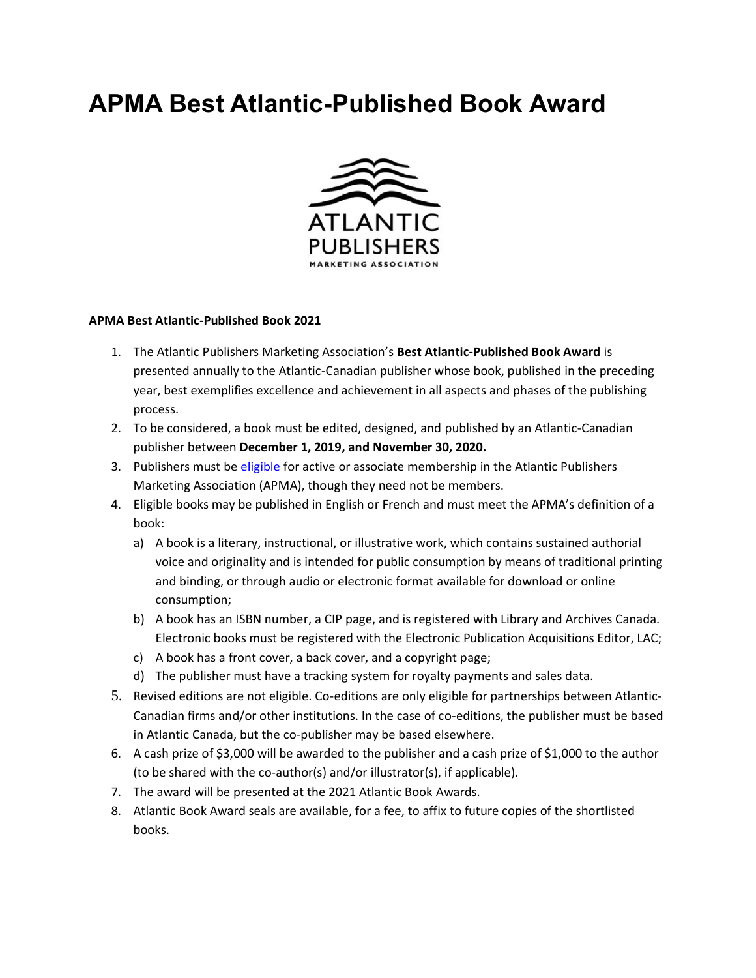# **APMA Best Atlantic-Published Book Award**



#### **APMA Best Atlantic-Published Book 2021**

- 1. The Atlantic Publishers Marketing Association's **Best Atlantic-Published Book Award** is presented annually to the Atlantic-Canadian publisher whose book, published in the preceding year, best exemplifies excellence and achievement in all aspects and phases of the publishing process.
- 2. To be considered, a book must be edited, designed, and published by an Atlantic-Canadian publisher between **December 1, 2019, and November 30, 2020.**
- 3. Publishers must be [eligible](https://atlanticpublishers.ca/membership-information/) for active or associate membership in the Atlantic Publishers Marketing Association (APMA), though they need not be members.
- 4. Eligible books may be published in English or French and must meet the APMA's definition of a book:
	- a) A book is a literary, instructional, or illustrative work, which contains sustained authorial voice and originality and is intended for public consumption by means of traditional printing and binding, or through audio or electronic format available for download or online consumption;
	- b) A book has an ISBN number, a CIP page, and is registered with Library and Archives Canada. Electronic books must be registered with the Electronic Publication Acquisitions Editor, LAC;
	- c) A book has a front cover, a back cover, and a copyright page;
	- d) The publisher must have a tracking system for royalty payments and sales data.
- 5. Revised editions are not eligible. Co-editions are only eligible for partnerships between Atlantic-Canadian firms and/or other institutions. In the case of co-editions, the publisher must be based in Atlantic Canada, but the co-publisher may be based elsewhere.
- 6. A cash prize of \$3,000 will be awarded to the publisher and a cash prize of \$1,000 to the author (to be shared with the co-author(s) and/or illustrator(s), if applicable).
- 7. The award will be presented at the 2021 Atlantic Book Awards.
- 8. Atlantic Book Award seals are available, for a fee, to affix to future copies of the shortlisted books.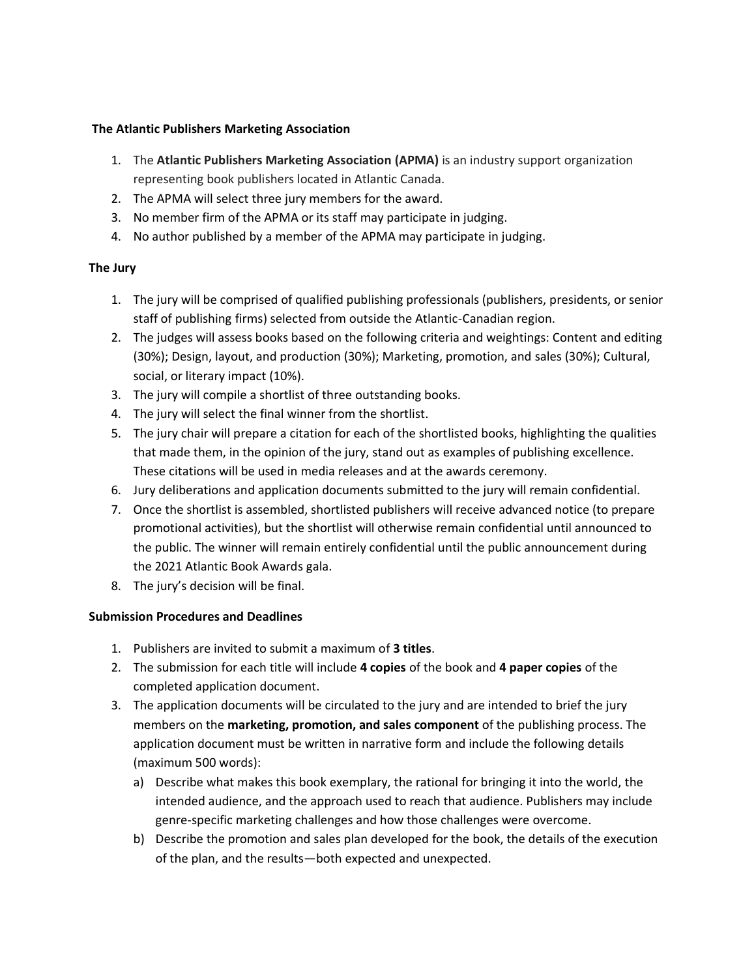### **The Atlantic Publishers Marketing Association**

- 1. The **Atlantic Publishers Marketing Association (APMA)** is an industry support organization representing book publishers located in Atlantic Canada.
- 2. The APMA will select three jury members for the award.
- 3. No member firm of the APMA or its staff may participate in judging.
- 4. No author published by a member of the APMA may participate in judging.

## **The Jury**

- 1. The jury will be comprised of qualified publishing professionals (publishers, presidents, or senior staff of publishing firms) selected from outside the Atlantic-Canadian region.
- 2. The judges will assess books based on the following criteria and weightings: Content and editing (30%); Design, layout, and production (30%); Marketing, promotion, and sales (30%); Cultural, social, or literary impact (10%).
- 3. The jury will compile a shortlist of three outstanding books.
- 4. The jury will select the final winner from the shortlist.
- 5. The jury chair will prepare a citation for each of the shortlisted books, highlighting the qualities that made them, in the opinion of the jury, stand out as examples of publishing excellence. These citations will be used in media releases and at the awards ceremony.
- 6. Jury deliberations and application documents submitted to the jury will remain confidential.
- 7. Once the shortlist is assembled, shortlisted publishers will receive advanced notice (to prepare promotional activities), but the shortlist will otherwise remain confidential until announced to the public. The winner will remain entirely confidential until the public announcement during the 2021 Atlantic Book Awards gala.
- 8. The jury's decision will be final.

## **Submission Procedures and Deadlines**

- 1. Publishers are invited to submit a maximum of **3 titles**.
- 2. The submission for each title will include **4 copies** of the book and **4 paper copies** of the completed application document.
- 3. The application documents will be circulated to the jury and are intended to brief the jury members on the **marketing, promotion, and sales component** of the publishing process. The application document must be written in narrative form and include the following details (maximum 500 words):
	- a) Describe what makes this book exemplary, the rational for bringing it into the world, the intended audience, and the approach used to reach that audience. Publishers may include genre-specific marketing challenges and how those challenges were overcome.
	- b) Describe the promotion and sales plan developed for the book, the details of the execution of the plan, and the results—both expected and unexpected.